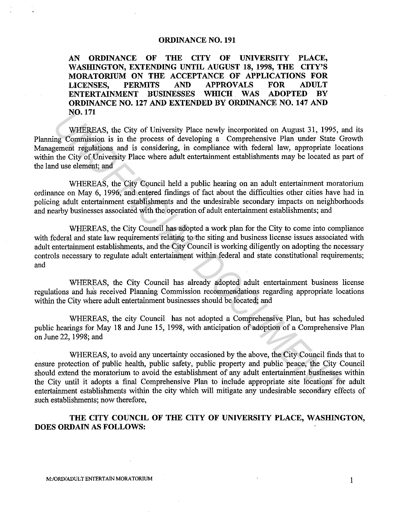## **ORDINANCE NO. 191**

**AN ORDINANCE OF THE CITY OF UNIVERSITY PLACE, WASHINGTON, EXTENDING UNTIL AUGUST 18, 1998, THE CITY'S MORATORIUM ON THE ACCEPTANCE OF APPLICATIONS FOR LICENSES, PERMITS AND APPROVALS FOR ADULT ENTERTAINMENT BUSINESSES WHICH WAS ADOPTED BY ORDINANCE NO. 127 AND EXTENDED BY ORDINANCE NO. 147 AND N0.171** 

WHEREAS, the City of University Place newly incorporated on August 31, 1995, and its Planning Commission is in the process of developing a Comprehensive Plan under State Growth Management regulations and is considering, in compliance with federal law, appropriate locations within the City of University Place where adult entertainment establishments may be located as part of the land use element; and

WHEREAS, the City Council held a public hearing on an adult entertainment moratorium ordinance on May 6, 1996, and entered findings of fact about the difficulties other cities have had in policing adult entertainment establishments and the undesirable secondary impacts on neighborhoods and nearby businesses associated with the operation of adult entertainment establishments; and

WHEREAS, the City Council has adopted a work plan for the City to come into compliance with federal and state law requirements relating to the siting and business license issues associated with adult entertainment establishments, and the City Council is working diligently on adopting the necessary controls necessary to regulate adult entertainment within federal and state constitutional requirements; and

WHEREAS, the City Council has already adopted adult entertainment business license regulations and has received Planning Commission recommendations regarding appropriate locations within the City where adult entertainment businesses should be located; and

WHEREAS, the city Council has not adopted a Comprehensive Plan, but has scheduled public hearings for May 18 and June 15, 1998, with anticipation of adoption of a Comprehensive Plan on June 22, 1998; and

WHEREAS, to avoid any uncertainty occasioned by the above, the City Council finds that to ensure protection of public health, public safety, public property and public peace, the City Council should extend the moratorium to avoid the establishment of any adult entertainment businesses within the City until it adopts a final Comprehensive Plan to include appropriate site locations for adult entertainment establishments within the city which will mitigate any undesirable secondary effects of such establishments; now therefore, **NO. 171**<br>
WHEREAS, the City of University Place newly incorporated on August 31, 1995, and<br>
Commission is in the process of developing a Comprehensive Plan under State G<br>
generalt regulations and is considering, in compli

**THE CITY COUNCIL OF THE CITY OF UNIVERSITY PLACE, WASHINGTON, DOES ORDAIN AS FOLLOWS:**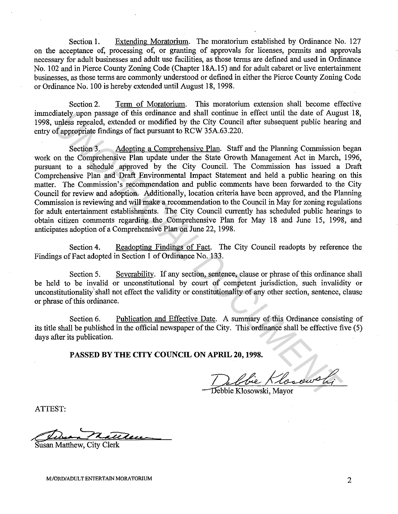Section **1.** Extending Moratorium. The moratorium established by Ordinance No. 127 on the acceptance of, processing of, or granting of approvals for licenses, permits and approvals necessary for adult businesses and adult use facilities, as those terms are defined and used in Ordinance No. 102 and in Pierce County Zoning Code (Chapter 18A.15) and for adult cabaret or live entertainment businesses, as those terms are commonly understood or defined in either the Pierce County Zoning Code or Ordinance No. 100 is hereby extended until August 18, 1998.

Section 2. Term of Moratorium. This moratorium extension shall become effective immediately upon passage of this ordinance and shall continue in effect until the date of August 18, 1998, unless repealed, extended or modified by the City Council after subsequent public hearing and entry of appropriate findings of fact pursuant to RCW 35A.63.220.

Section 3. Adopting a Comprehensive Plan. Staff and the Planning Commission began work on the Comprehensive Plan update under the State Growth Management Act in March, 1996, pursuant to a schedule approved by the City Council. The Commission has issued a Draft Comprehensive Plan and Draft Environmental Impact Statement and held a public hearing on this matter. The Commission's recommendation and public comments have been forwarded to the City Council for review and adoption. Additionally, location criteria have been approved, and the Planning Commission is reviewing and will make a recommendation to the Council in May for zoning regulations for adult entertainment establishments. The City Council currently has scheduled public hearings to obtain citizen comments regarding the Comprehensive Plan for May 18 and June 15, 1998, and anticipates adoption of a Comprehensive Plan on June 22, 1998. Indepty<br>and said continues in the other than the date of Augustus<br>giazety unless repealed, extended or modified by the City Council after subsequent public hear<br>of appropriate findings of fact pursuant to RCW 35A.63.220.<br>S

Section 4. Readopting Findings of Fact. The City Council readopts by reference the Findings of Fact adopted in Section 1 of Ordinance No. 133.

Section 5. Severability. If any section, sentence, clause or phrase of this ordinance shall be held to be invalid or unconstitutional by court of competent jurisdiction, such invalidity or unconstitutionality' shall not effect the validity or constitutionality of any other section, sentence, clause or phrase of this ordinance.

Section 6. Publication and Effective Date. A summary of this Ordinance consisting of its title shall be published in the official newspaper of the City. This ordinance shall be effective five (5) days after its publication.

**PASSED BY THE CITY COUNCIL ON APRIL 20, 1998.** 

Debbie Klosowski

ATTEST:

Die natten

Susan Matthew, City Clerk

M:/ORD/ADULT ENTERTAIN MORATORIUM  $2$